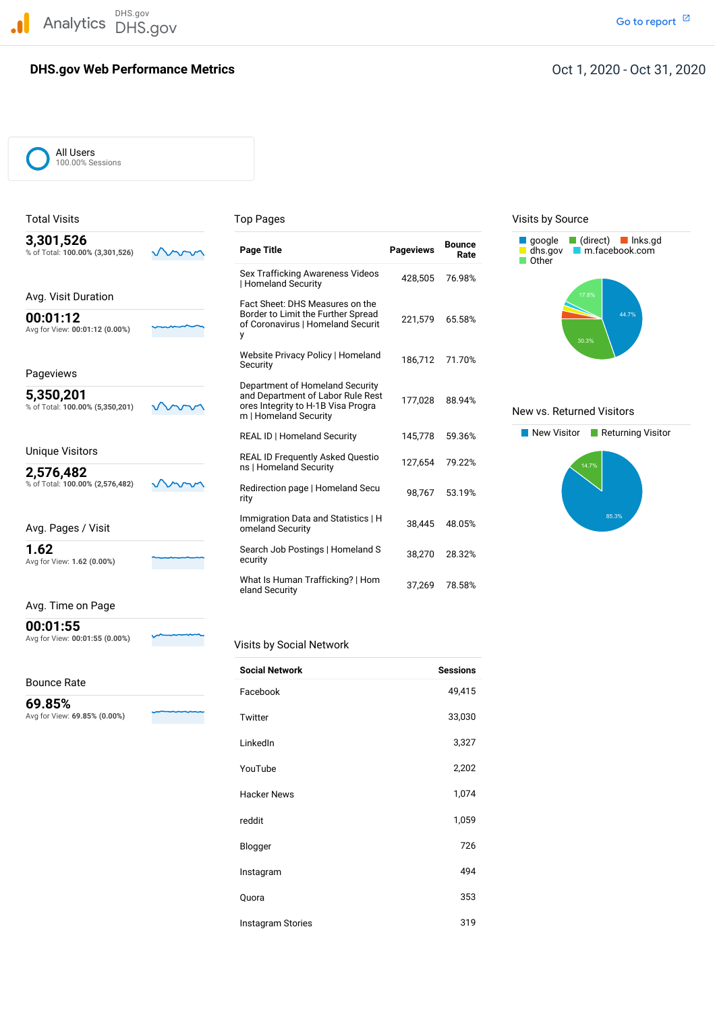DHS.gov Analytics DHS.gov and the contract of the contract of the contract of the contract of the contract of the contract of the contract of the contract of the contract of the contract of the contract of the contract of the cont

## **DHS.gov Web Performance Metrics**

### Oct 1, 2020 - Oct 31, 2020

All Users 100.00% Sessions

# % of Total: 100.00% (3,301,526) Avg for View: 00:01:12 (0.00%) % of Total: 100.00% (5,350,201) % of Total: 100.00% (2,576,482) Avg for View: **1.62 (0.00%)** ecurity Sex Trafficking Awareness Videos 428,505 76.98%<br>| Homeland Security | Homeland Security Avg. Visit Duration Fact Sheet: DHS Measures on the Border to Limit the Further Spread Website Privacy Policy | Homeland 186,712 71.70%<br>Sequrity REAL ID | Homeland Security Unique Visitors REAL ID Frequently Asked Questio 127,654 79.22% ns <sup>|</sup> Homeland Security **2,576,482** ns | Homeland Security % of Total: **100.00% (2,576,482)** Redirection page <sup>|</sup> Homeland Secu 98,767 53.19% rity Immigration Data and Statistics <sup>|</sup> <sup>H</sup> 38,445 48.05% Avg. Pages / Visit omeland Security **1.62** Search Job Postings | Homeland S 38,270 28.32% What Is Human Trafficking? <sup>|</sup> Hom 37,269 78.58% eland Security Total Visits **The Contract of Top Pages** Top Pages **The Contract of Contract A** Visits by Source google (direct) lnks.gd % of Total: **100.00% (3,301,526) Page Title Pageviews 3,301,526 Bounce** dhs.gov [m.facebook.com](https://m.facebook.com) **Rate** Other Border to Limit the Further Spread **00:01:12** 221,579 65.58% of Coronavirus <sup>|</sup> Homeland Securit Avg for View: **00:01:12 (0.00%)** <sup>y</sup> **Security** Pageviews Department of Homeland Security<br>and Department of Labor Rule Rest 177,028 88.94%<br>For Total: 100.00% (5,350,201) March Care of Homeland Security to H-1B Visa Progra Mew vs. Returned Visitors<br>m | Homeland Security m

### Avg. Time on Page

Avg for View: 00:01:55 (0.00%) **00:01:55**

Bounce Rate

 Avg for View: **69.85% (0.00%) 69.85%**

#### **Visits by Social Network**

| <b>Social Network</b>    | <b>Sessions</b> |
|--------------------------|-----------------|
| Facebook                 | 49,415          |
| Twitter                  | 33,030          |
| LinkedIn                 | 3,327           |
| YouTube                  | 2,202           |
| <b>Hacker News</b>       | 1,074           |
| reddit                   | 1,059           |
| Blogger                  | 726             |
| Instagram                | 494             |
| Quora                    | 353             |
| <b>Instagram Stories</b> | 319             |



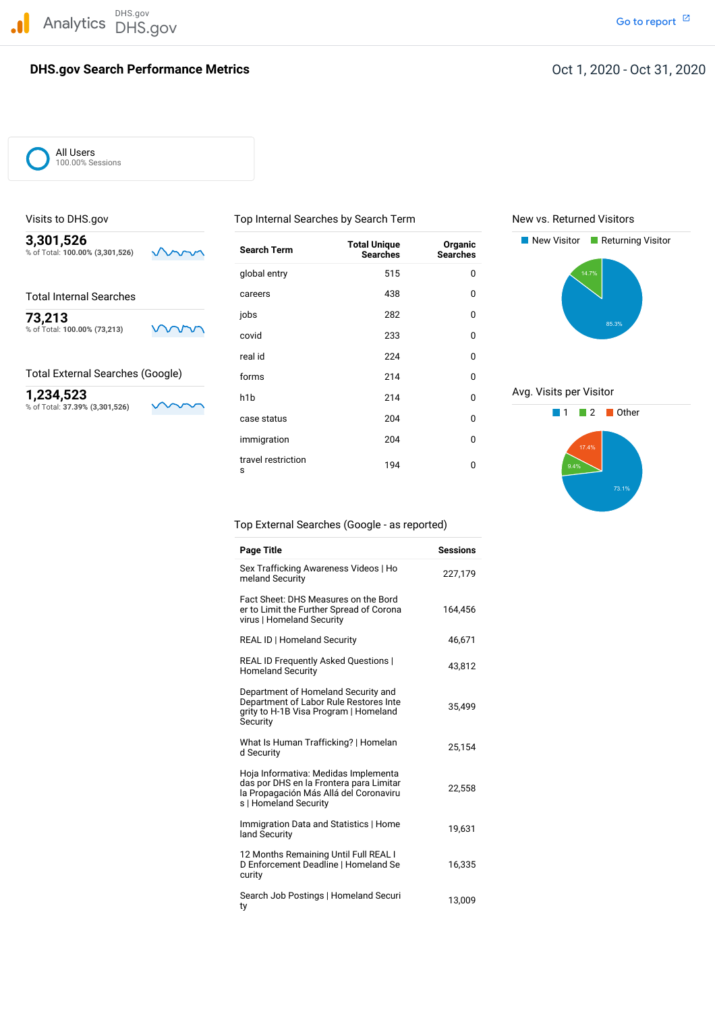DHS.gov Analytics DHS.gov and the contract of the contract of the contract of the contract of the contract of the contract of the contract of the contract of the contract of the contract of the contract of the contract of the cont

## **DHS.gov Search Performance Metrics**

Go to report<sup>[2]</sup>

# Oct 1, 2020 - Oct 31, 2020

All Users 100.00% Sessions

Visits to DHS.gov **The Community Community Community** Top Internal Searches by Search Term New vs. Returned Visitors

| 3,301,526                       |    |
|---------------------------------|----|
| % of Total: 100.00% (3,301,526) | ww |
|                                 |    |

### Total External Searches (Google)

| 3,301,526<br>% of Total: 100.00% (3,301,526) |    | <b>Search Term</b>      | <b>Total Unique</b><br><b>Searches</b> | Organic<br><b>Searches</b> | New Visitor<br>Returning Visitor |
|----------------------------------------------|----|-------------------------|----------------------------------------|----------------------------|----------------------------------|
|                                              |    | global entry            | 515                                    | $\mathbf 0$                | 14.7%                            |
| <b>Total Internal Searches</b>               |    | careers                 | 438                                    | 0                          |                                  |
| 73,213                                       |    | jobs                    | 282                                    | 0                          | 85.3%                            |
| % of Total: 100.00% (73,213)                 | wr | covid                   | 233                                    | 0                          |                                  |
|                                              |    | real id                 | 224                                    | 0                          |                                  |
| <b>Total External Searches (Google)</b>      |    | forms                   | 214                                    | 0                          |                                  |
| 1,234,523                                    |    | h <sub>1</sub> b        | 214                                    | $\mathbf 0$                | Avg. Visits per Visitor          |
| % of Total: 37.39% (3,301,526)               |    | case status             | 204                                    | 0                          | Other                            |
|                                              |    | immigration             | 204                                    | 0                          | 17.4%                            |
|                                              |    | travel restriction<br>s | 194                                    | 0                          | 9.4%                             |





Top External Searches (Google - as reported)

| <b>Page Title</b>                                                                                                                                  | <b>Sessions</b> |
|----------------------------------------------------------------------------------------------------------------------------------------------------|-----------------|
| Sex Trafficking Awareness Videos   Ho<br>meland Security                                                                                           | 227,179         |
| Fact Sheet: DHS Measures on the Bord<br>er to Limit the Further Spread of Corona<br>virus   Homeland Security                                      | 164,456         |
| <b>REAL ID   Homeland Security</b>                                                                                                                 | 46,671          |
| REAL ID Frequently Asked Questions  <br><b>Homeland Security</b>                                                                                   | 43,812          |
| Department of Homeland Security and<br>Department of Labor Rule Restores Inte<br>grity to H-1B Visa Program   Homeland<br>Security                 | 35,499          |
| What Is Human Trafficking?   Homelan<br>d Security                                                                                                 | 25,154          |
| Hoja Informativa: Medidas Implementa<br>das por DHS en la Frontera para Limitar<br>la Propagación Más Allá del Coronaviru<br>s   Homeland Security | 22,558          |
| Immigration Data and Statistics   Home<br>land Security                                                                                            | 19,631          |
| 12 Months Remaining Until Full REAL I<br>D Enforcement Deadline   Homeland Se<br>curity                                                            | 16,335          |
| Search Job Postings   Homeland Securi<br>ty                                                                                                        | 13,009          |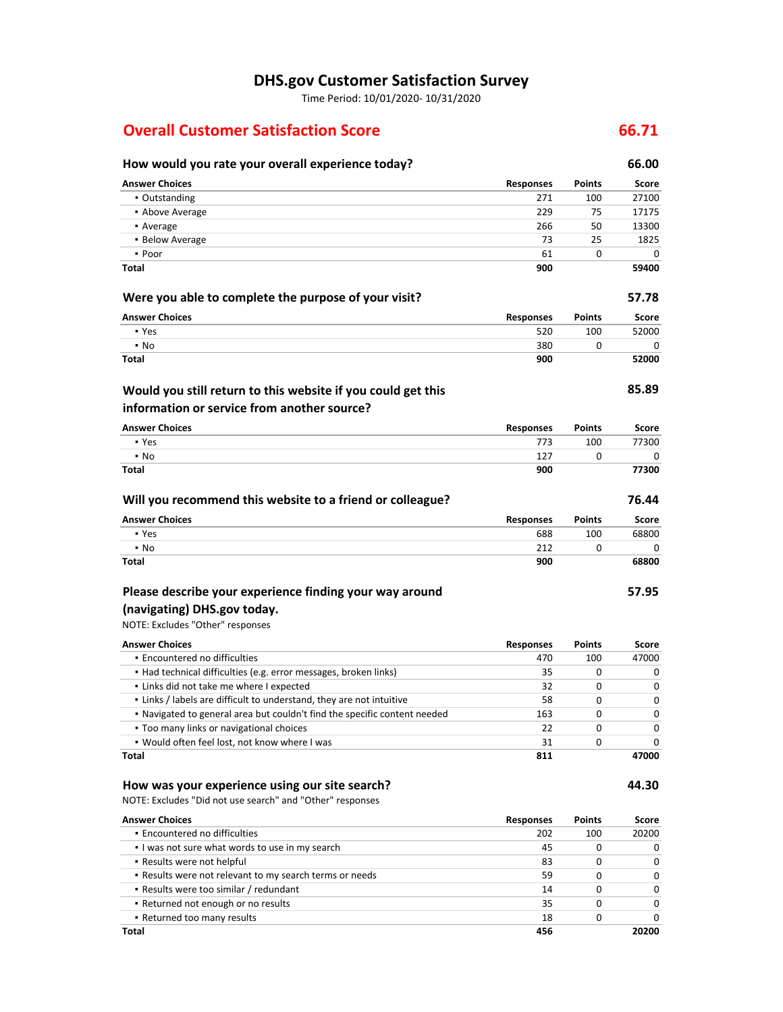# **DHS.gov Customer Satisfaction Survey**

Time Period: 10/01/2020‐ 10/31/2020

# **Overall Customer Satisfaction Score 66.71**

#### **Would you still return to this website if you could get this How would you rate your overall experience today? 66.00 Answer Choices Responses Points Score** • Outstanding 271 200 27100 27100 27100 27100 27100 27100 27100 27100 27100 27100 27100 27100 27100 27100 27100 27100 27100 27100 27100 27100 27100 27100 27100 27100 27100 27100 27100 27100 27100 27100 27100 27100 27100 27 ▪ Above Average 229 75 17175 **•** Average 266 50 13300 **13300** ▪ Below Average 73 25 1825 ▪ Poor 61 0 0 **Total 900 59400 Were you able to complete the purpose of your visit? 57.78 Answer Choices Responses** 520 380 **900 Points** 100 0 **85.89**

### **information or service from another source?**

| <b>Answer Choices</b> | Responses | <b>Points</b> | Score |
|-----------------------|-----------|---------------|-------|
| • Yes                 | 773       | 100           | 77300 |
| $\cdot$ No            | 127       |               |       |
| <b>Total</b>          | 900       |               | 77300 |

| Will you recommend this website to a friend or colleague? |                  |               | 76.44 |
|-----------------------------------------------------------|------------------|---------------|-------|
| <b>Answer Choices</b>                                     | <b>Responses</b> | <b>Points</b> | Score |
| • Yes                                                     | 688              | 100           | 68800 |
| $\cdot$ No                                                | 212              |               |       |
| <b>Total</b>                                              | 900              |               | 68800 |

# **Please describe your experience finding your way around**

# **(navigating) DHS.gov today.**

NOTE: Excludes "Other" responses

▪ Yes ▪ No **Total**

| <b>Answer Choices</b>                                                     | <b>Responses</b> | <b>Points</b> | Score        |
|---------------------------------------------------------------------------|------------------|---------------|--------------|
| • Encountered no difficulties                                             | 470              | 100           | 47000        |
| • Had technical difficulties (e.g. error messages, broken links)          | 35               | 0             | 0            |
| . Links did not take me where I expected                                  | 32               | <sup>0</sup>  | <sup>0</sup> |
| . Links / labels are difficult to understand, they are not intuitive      | 58               | <sup>0</sup>  | <sup>0</sup> |
| . Navigated to general area but couldn't find the specific content needed | 163              | <sup>0</sup>  | 0            |
| • Too many links or navigational choices                                  | 22               | <sup>0</sup>  | O            |
| . Would often feel lost, not know where I was                             | 31               |               |              |
| Total                                                                     | 811              |               |              |

#### **How was your experience using our site search?**

NOTE: Excludes "Did not use search" and "Other" responses

| <b>Answer Choices</b>                                   | <b>Responses</b> | <b>Points</b> | Score        |
|---------------------------------------------------------|------------------|---------------|--------------|
| • Encountered no difficulties                           | 202              | 100           | 20200        |
| I was not sure what words to use in my search           | 45               | 0             | 0            |
| • Results were not helpful                              | 83               |               | <sup>0</sup> |
| . Results were not relevant to my search terms or needs | 59               |               | 0            |
| • Results were too similar / redundant                  | 14               |               | <sup>0</sup> |
| • Returned not enough or no results                     | 35               | 0             | U            |
| • Returned too many results                             | 18               |               | ŋ            |
| Total                                                   | 456              |               | 20200        |

**57.95**

**44.30**